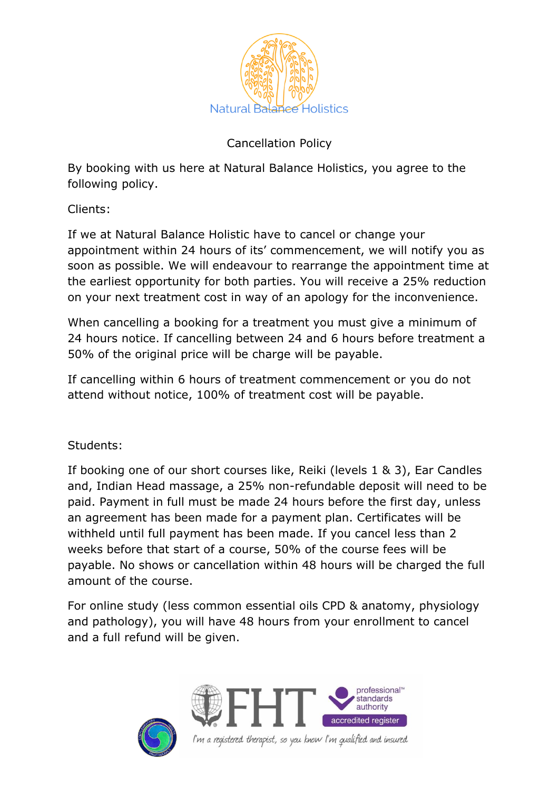

## Cancellation Policy

By booking with us here at Natural Balance Holistics, you agree to the following policy.

Clients:

If we at Natural Balance Holistic have to cancel or change your appointment within 24 hours of its' commencement, we will notify you as soon as possible. We will endeavour to rearrange the appointment time at the earliest opportunity for both parties. You will receive a 25% reduction on your next treatment cost in way of an apology for the inconvenience.

When cancelling a booking for a treatment you must give a minimum of 24 hours notice. If cancelling between 24 and 6 hours before treatment a 50% of the original price will be charge will be payable.

If cancelling within 6 hours of treatment commencement or you do not attend without notice, 100% of treatment cost will be payable.

Students:

If booking one of our short courses like, Reiki (levels 1 & 3), Ear Candles and, Indian Head massage, a 25% non-refundable deposit will need to be paid. Payment in full must be made 24 hours before the first day, unless an agreement has been made for a payment plan. Certificates will be withheld until full payment has been made. If you cancel less than 2 weeks before that start of a course, 50% of the course fees will be payable. No shows or cancellation within 48 hours will be charged the full amount of the course.

For online study (less common essential oils CPD & anatomy, physiology and pathology), you will have 48 hours from your enrollment to cancel and a full refund will be given.





I'm a registered therapist, so you know I'm qualified and insured